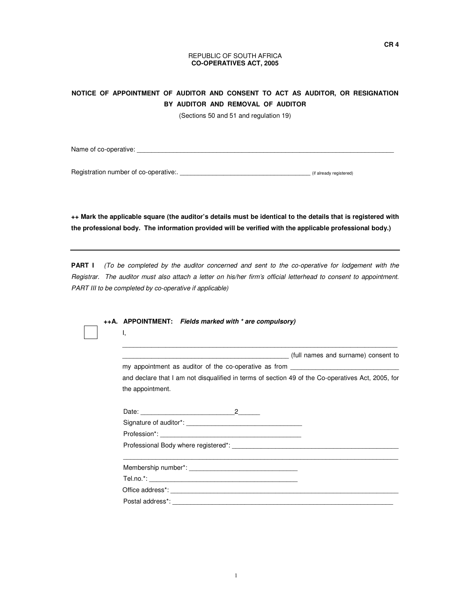## REPUBLIC OF SOUTH AFRICA **CO-OPERATIVES ACT, 2005**

## **NOTICE OF APPOINTMENT OF AUDITOR AND CONSENT TO ACT AS AUDITOR, OR RESIGNATION BY AUDITOR AND REMOVAL OF AUDITOR**

(Sections 50 and 51 and regulation 19)

Name of co-operative: \_\_\_\_\_\_\_\_\_\_\_\_\_\_\_\_\_\_\_\_\_\_\_\_\_\_\_\_\_\_\_\_\_\_\_\_\_\_\_\_\_\_\_\_\_\_\_\_\_\_\_\_\_\_\_\_\_\_\_\_\_\_\_\_\_\_\_\_\_\_\_

Registration number of co-operative:. \_\_\_\_\_\_\_\_\_\_\_\_\_\_\_\_\_\_\_\_\_\_\_\_\_\_\_\_\_\_\_\_\_\_\_\_ (if already registered)

**++ Mark the applicable square (the auditor's details must be identical to the details that is registered with the professional body. The information provided will be verified with the applicable professional body.)** 

**PART I** (To be completed by the auditor concerned and sent to the co-operative for lodgement with the Registrar. The auditor must also attach a letter on his/her firm's official letterhead to consent to appointment. PART III to be completed by co-operative if applicable)

|  |  | т,                                                                                                | ++A. APPOINTMENT: Fields marked with * are compulsory) |                                     |  |  |
|--|--|---------------------------------------------------------------------------------------------------|--------------------------------------------------------|-------------------------------------|--|--|
|  |  |                                                                                                   |                                                        | (full names and surname) consent to |  |  |
|  |  | my appointment as auditor of the co-operative as from __________________________                  |                                                        |                                     |  |  |
|  |  | and declare that I am not disqualified in terms of section 49 of the Co-operatives Act, 2005, for |                                                        |                                     |  |  |
|  |  | the appointment.                                                                                  |                                                        |                                     |  |  |
|  |  |                                                                                                   |                                                        |                                     |  |  |
|  |  |                                                                                                   |                                                        |                                     |  |  |
|  |  |                                                                                                   |                                                        |                                     |  |  |
|  |  |                                                                                                   |                                                        |                                     |  |  |
|  |  |                                                                                                   |                                                        |                                     |  |  |
|  |  |                                                                                                   |                                                        |                                     |  |  |
|  |  |                                                                                                   |                                                        |                                     |  |  |
|  |  |                                                                                                   |                                                        |                                     |  |  |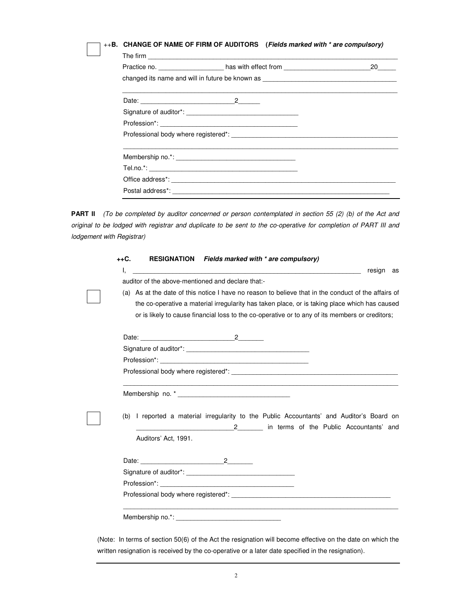| ++B. CHANGE OF NAME OF FIRM OF AUDITORS (Fields marked with * are compulsory) |  |
|-------------------------------------------------------------------------------|--|
|-------------------------------------------------------------------------------|--|

|                                                                                  | The firm <b>contract the contract of the contract of the contract of the contract of the contract of the contract of the contract of the contract of the contract of the contract of the contract of the contract of the contrac</b> |  |
|----------------------------------------------------------------------------------|--------------------------------------------------------------------------------------------------------------------------------------------------------------------------------------------------------------------------------------|--|
| changed its name and will in future be known as ________________________________ |                                                                                                                                                                                                                                      |  |
|                                                                                  |                                                                                                                                                                                                                                      |  |
|                                                                                  |                                                                                                                                                                                                                                      |  |
|                                                                                  |                                                                                                                                                                                                                                      |  |
|                                                                                  |                                                                                                                                                                                                                                      |  |
|                                                                                  |                                                                                                                                                                                                                                      |  |
|                                                                                  |                                                                                                                                                                                                                                      |  |
|                                                                                  |                                                                                                                                                                                                                                      |  |
|                                                                                  |                                                                                                                                                                                                                                      |  |

**PART II** (To be completed by auditor concerned or person contemplated in section 55 (2) (b) of the Act and original to be lodged with registrar and duplicate to be sent to the co-operative for completion of PART III and lodgement with Registrar)

|    |                      |                                                                                                                                                                                                                                                    | RESIGNATION Fields marked with * are compulsory) |                                           |  |
|----|----------------------|----------------------------------------------------------------------------------------------------------------------------------------------------------------------------------------------------------------------------------------------------|--------------------------------------------------|-------------------------------------------|--|
| Ι. |                      |                                                                                                                                                                                                                                                    |                                                  | resign as                                 |  |
|    |                      | auditor of the above-mentioned and declare that:-                                                                                                                                                                                                  |                                                  |                                           |  |
|    |                      | (a) As at the date of this notice I have no reason to believe that in the conduct of the affairs of                                                                                                                                                |                                                  |                                           |  |
|    |                      | the co-operative a material irregularity has taken place, or is taking place which has caused                                                                                                                                                      |                                                  |                                           |  |
|    |                      | or is likely to cause financial loss to the co-operative or to any of its members or creditors;                                                                                                                                                    |                                                  |                                           |  |
|    |                      |                                                                                                                                                                                                                                                    |                                                  |                                           |  |
|    |                      |                                                                                                                                                                                                                                                    |                                                  |                                           |  |
|    |                      |                                                                                                                                                                                                                                                    |                                                  |                                           |  |
|    |                      |                                                                                                                                                                                                                                                    |                                                  |                                           |  |
|    |                      | Professional body where registered*: example and a series of the series of the series of the series of the series of the series of the series of the series of the series of the series of the series of the series of the ser<br>Membership no. * |                                                  |                                           |  |
|    |                      | (b) I reported a material irregularity to the Public Accountants' and Auditor's Board on                                                                                                                                                           |                                                  | 2 in terms of the Public Accountants' and |  |
|    | Auditors' Act, 1991. |                                                                                                                                                                                                                                                    |                                                  |                                           |  |
|    |                      |                                                                                                                                                                                                                                                    |                                                  |                                           |  |
|    |                      |                                                                                                                                                                                                                                                    |                                                  |                                           |  |
|    |                      |                                                                                                                                                                                                                                                    |                                                  |                                           |  |

(Note: In terms of section 50(6) of the Act the resignation will become effective on the date on which the written resignation is received by the co-operative or a later date specified in the resignation).